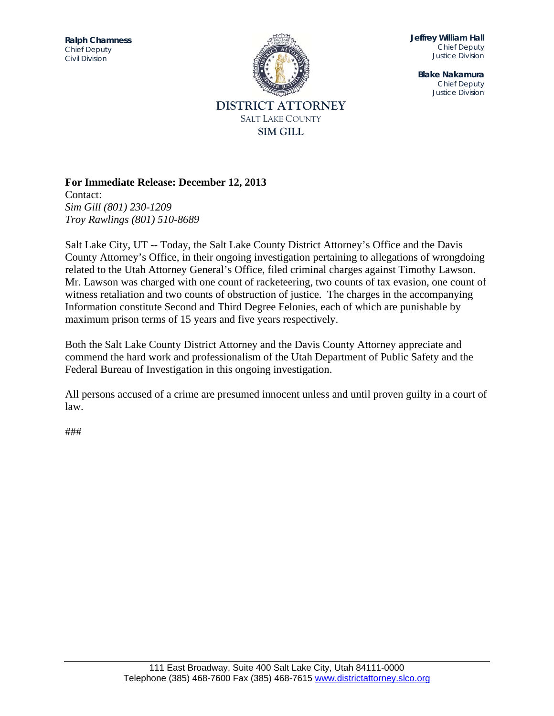

**Jeffrey William Hall**  *Chief Deputy Justice Division* 

**Blake Nakamura**  *Chief Deputy Justice Division* 

# **For Immediate Release: December 12, 2013**

Contact: *Sim Gill (801) 230-1209 Troy Rawlings (801) 510-8689* 

Salt Lake City, UT -- Today, the Salt Lake County District Attorney's Office and the Davis County Attorney's Office, in their ongoing investigation pertaining to allegations of wrongdoing related to the Utah Attorney General's Office, filed criminal charges against Timothy Lawson. Mr. Lawson was charged with one count of racketeering, two counts of tax evasion, one count of witness retaliation and two counts of obstruction of justice. The charges in the accompanying Information constitute Second and Third Degree Felonies, each of which are punishable by maximum prison terms of 15 years and five years respectively.

Both the Salt Lake County District Attorney and the Davis County Attorney appreciate and commend the hard work and professionalism of the Utah Department of Public Safety and the Federal Bureau of Investigation in this ongoing investigation.

All persons accused of a crime are presumed innocent unless and until proven guilty in a court of law.

###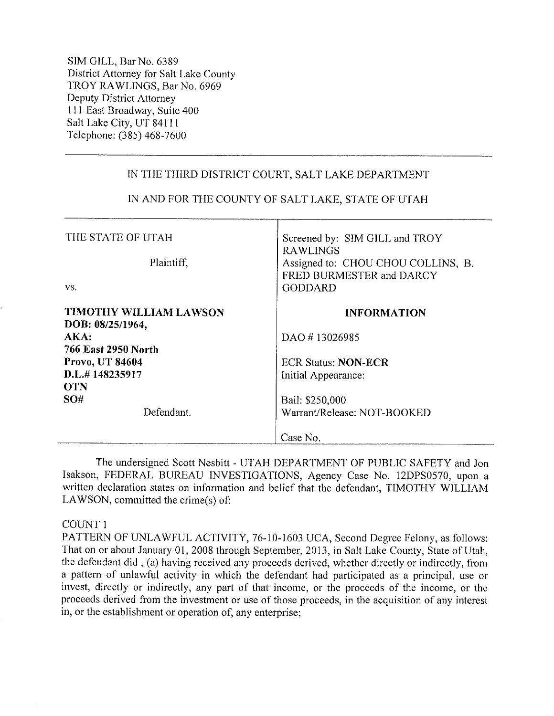SIM GILL, Bar No. 6389 District Attorney for Salt Lake County TROY RAWLINGS, Bar No. 6969 Deputy District Attorney 111 East Broadway, Suite 400 Salt Lake City, UT 84111 Telephone: (385) 468-7600

# IN THE THIRD DISTRICT COURT, SALT LAKE DEPARTMENT

| THE STATE OF UTAH<br>Plaintiff,<br>VS.                                                                         | Screened by: SIM GILL and TROY<br><b>RAWLINGS</b><br>Assigned to: CHOU CHOU COLLINS, B.<br>FRED BURMESTER and DARCY<br><b>GODDARD</b> |
|----------------------------------------------------------------------------------------------------------------|---------------------------------------------------------------------------------------------------------------------------------------|
| TIMOTHY WILLIAM LAWSON<br>DOB: 08/25/1964,<br>AKA:<br>766 East 2950 North<br>Provo, UT 84604<br>D.L.#148235917 | <b>INFORMATION</b><br>DAO #13026985<br><b>ECR Status: NON-ECR</b><br>Initial Appearance:                                              |
| <b>OTN</b><br><b>SO#</b><br>Defendant.                                                                         | Bail: \$250,000<br>Warrant/Release: NOT-BOOKED<br>Case No.                                                                            |

# IN AND FOR THE COUNTY OF SALT LAKE, STATE OF UTAH

The undersigned Scott Nesbitt - UTAH DEPARTMENT OF PUBLIC SAFETY and Jon Isakson, FEDERAL BUREAU INVESTIGATIONS, Agency Case No. 12DPS0570, upon a written declaration states on information and belief that the defendant, TIMOTHY WILLIAM LAWSON, committed the crime(s) of:

# COUNT 1

PATTERN OF UNLAWFUL ACTIVITY, 76-10-1603 UCA, Second Degree Felony, as follows: That on or about January 01, 2008 through September, 2013, in Salt Lake County, State of Utah, the defendant did, (a) having received any proceeds derived, whether directly or indirectly, from a pattern of unlawful activity in which the defendant had participated as a principal, use or invest, directly or indirectly, any part of that income, or the proceeds of the income, or the proceeds derived from the investment or use of those proceeds, in the acquisition of any interest in, or the establishment or operation of, any enterprise;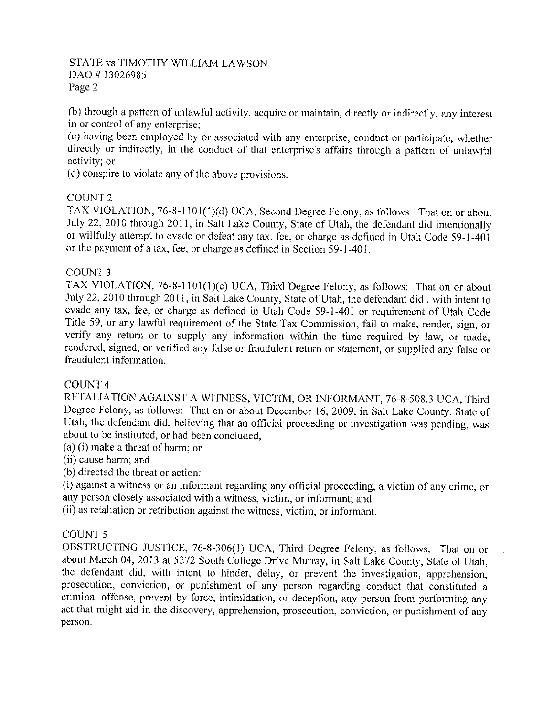(b) through a pattern of unlawful activity, acquire or maintain, directly or indirectly, any interest in or control of any enterprise:

(c) having been employed by or associated with any enterprise, conduct or participate, whether directly or indirectly, in the conduct of that enterprise's affairs through a pattern of unlawful activity; or

(d) conspire to violate any of the above provisions.

#### **COUNT 2**

TAX VIOLATION, 76-8-1101(1)(d) UCA, Second Degree Felony, as follows: That on or about July 22, 2010 through 2011, in Salt Lake County, State of Utah, the defendant did intentionally or willfully attempt to evade or defeat any tax, fee, or charge as defined in Utah Code 59-1-401 or the payment of a tax, fee, or charge as defined in Section 59-1-401.

# COUNT 3

TAX VIOLATION, 76-8-1101(1)(c) UCA, Third Degree Felony, as follows: That on or about July 22, 2010 through 2011, in Salt Lake County, State of Utah, the defendant did, with intent to evade any tax, fee, or charge as defined in Utah Code 59-1-401 or requirement of Utah Code Title 59, or any lawful requirement of the State Tax Commission, fail to make, render, sign, or verify any return or to supply any information within the time required by law, or made, rendered, signed, or verified any false or fraudulent return or statement, or supplied any false or fraudulent information.

#### COUNT<sub>4</sub>

RETALIATION AGAINST A WITNESS, VICTIM, OR INFORMANT, 76-8-508.3 UCA, Third Degree Felony, as follows: That on or about December 16, 2009, in Salt Lake County, State of Utah, the defendant did, believing that an official proceeding or investigation was pending, was about to be instituted, or had been concluded,

(a) (i) make a threat of harm; or

(ii) cause harm; and

(b) directed the threat or action:

(i) against a witness or an informant regarding any official proceeding, a victim of any crime, or any person closely associated with a witness, victim, or informant; and

(ii) as retaliation or retribution against the witness, victim, or informant.

# **COUNT 5**

OBSTRUCTING JUSTICE, 76-8-306(1) UCA, Third Degree Felony, as follows: That on or about March 04, 2013 at 5272 South College Drive Murray, in Salt Lake County, State of Utah, the defendant did, with intent to hinder, delay, or prevent the investigation, apprehension, prosecution, conviction, or punishment of any person regarding conduct that constituted a criminal offense, prevent by force, intimidation, or deception, any person from performing any act that might aid in the discovery, apprehension, prosecution, conviction, or punishment of any person.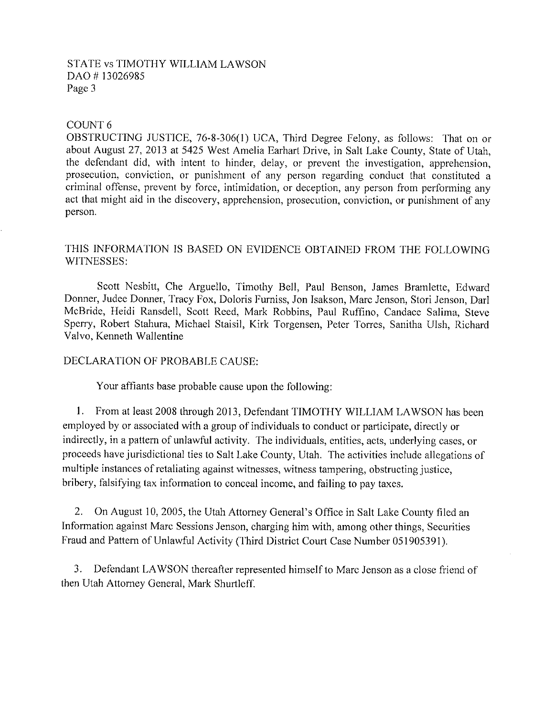# COUNT<sub>6</sub>

OBSTRUCTING JUSTICE, 76-8-306(1) UCA, Third Degree Felony, as follows: That on or about August 27, 2013 at 5425 West Amelia Earhart Drive, in Salt Lake County, State of Utah, the defendant did, with intent to hinder, delay, or prevent the investigation, apprehension, prosecution, conviction, or punishment of any person regarding conduct that constituted a criminal offense, prevent by force, intimidation, or deception, any person from performing any act that might aid in the discovery, apprehension, prosecution, conviction, or punishment of any person.

# THIS INFORMATION IS BASED ON EVIDENCE OBTAINED FROM THE FOLLOWING WITNESSES:

Scott Nesbitt, Che Arguello, Timothy Bell, Paul Benson, James Bramlette, Edward Donner, Judee Donner, Tracy Fox, Doloris Furniss, Jon Isakson, Marc Jenson, Stori Jenson, Darl McBride, Heidi Ransdell, Scott Reed, Mark Robbins, Paul Ruffino, Candace Salima, Steve Sperry, Robert Stahura, Michael Staisil, Kirk Torgensen, Peter Torres, Sanitha Ulsh, Richard Valvo, Kenneth Wallentine

# DECLARATION OF PROBABLE CAUSE:

Your affiants base probable cause upon the following:

1. From at least 2008 through 2013, Defendant TIMOTHY WILLIAM LAWSON has been employed by or associated with a group of individuals to conduct or participate, directly or indirectly, in a pattern of unlawful activity. The individuals, entities, acts, underlying cases, or proceeds have jurisdictional ties to Salt Lake County, Utah. The activities include allegations of multiple instances of retaliating against witnesses, witness tampering, obstructing justice, bribery, falsifying tax information to conceal income, and failing to pay taxes.

2. On August 10, 2005, the Utah Attorney General's Office in Salt Lake County filed an Information against Marc Sessions Jenson, charging him with, among other things, Securities Fraud and Pattern of Unlawful Activity (Third District Court Case Number 051905391).

3. Defendant LAWSON thereafter represented himself to Marc Jenson as a close friend of then Utah Attorney General, Mark Shurtleff.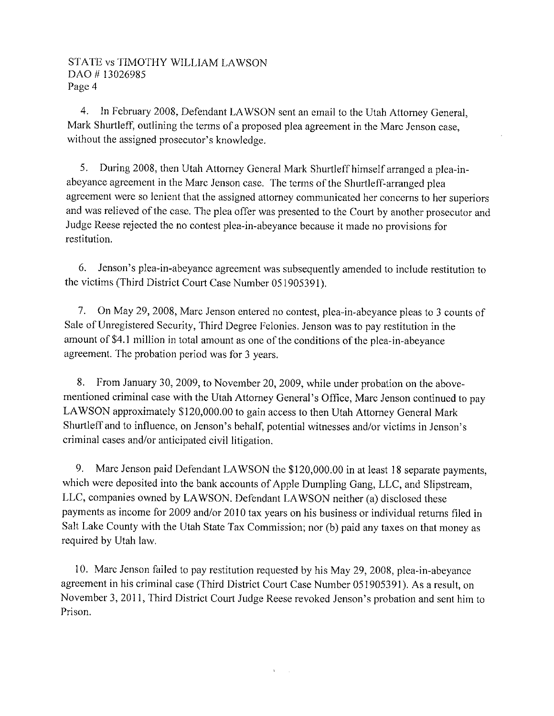4. In February 2008, Defendant LAWSON sent an email to the Utah Attorney General, Mark Shurtleff, outlining the terms of a proposed plea agreement in the Marc Jenson case, without the assigned prosecutor's knowledge.

5. During 2008, then Utah Attorney General Mark Shurtleff himself arranged a plea-inabeyance agreement in the Marc Jenson case. The terms of the Shurtleff-arranged plea agreement were so lenient that the assigned attorney communicated her concerns to her superiors and was relieved of the case. The plea offer was presented to the Court by another prosecutor and Judge Reese rejected the no contest plea-in-abeyance because it made no provisions for restitution.

6. Jenson's plea-in-abeyance agreement was subsequently amended to include restitution to the victims (Third District Court Case Number 051905391).

7. On May 29, 2008, Marc Jenson entered no contest, plea-in-abeyance pleas to 3 counts of Sale of Unregistered Security, Third Degree Felonies. Jenson was to pay restitution in the amount of \$4.1 million in total amount as one of the conditions of the plea-in-abeyance agreement. The probation period was for 3 years.

8. From January 30, 2009, to November 20, 2009, while under probation on the abovementioned criminal case with the Utah Attorney General's Office, Marc Jenson continued to pay LAWSON approximately \$120,000.00 to gain access to then Utah Attorney General Mark Shurtleff and to influence, on Jenson's behalf, potential witnesses and/or victims in Jenson's criminal cases and/or anticipated civil litigation.

Marc Jenson paid Defendant LAWSON the \$120,000.00 in at least 18 separate payments, 9. which were deposited into the bank accounts of Apple Dumpling Gang, LLC, and Slipstream, LLC, companies owned by LAWSON. Defendant LAWSON neither (a) disclosed these payments as income for 2009 and/or 2010 tax years on his business or individual returns filed in Salt Lake County with the Utah State Tax Commission; nor (b) paid any taxes on that money as required by Utah law.

10. Marc Jenson failed to pay restitution requested by his May 29, 2008, plea-in-abeyance agreement in his criminal case (Third District Court Case Number 051905391). As a result, on November 3, 2011, Third District Court Judge Reese revoked Jenson's probation and sent him to Prison.

 $\mathbf{r}$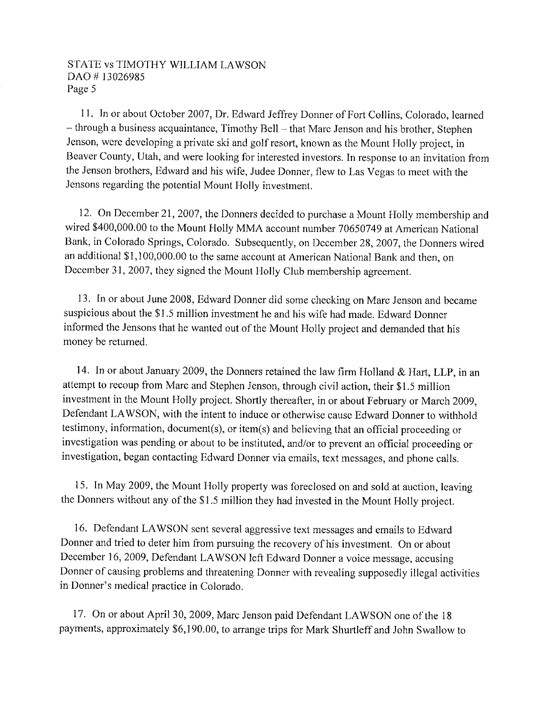11. In or about October 2007, Dr. Edward Jeffrey Donner of Fort Collins, Colorado, learned - through a business acquaintance, Timothy Bell - that Marc Jenson and his brother, Stephen Jenson, were developing a private ski and golf resort, known as the Mount Holly project, in Beaver County, Utah, and were looking for interested investors. In response to an invitation from the Jenson brothers, Edward and his wife, Judee Donner, flew to Las Vegas to meet with the Jensons regarding the potential Mount Holly investment.

12. On December 21, 2007, the Donners decided to purchase a Mount Holly membership and wired \$400,000.00 to the Mount Holly MMA account number 70650749 at American National Bank, in Colorado Springs, Colorado. Subsequently, on December 28, 2007, the Donners wired an additional \$1,100,000.00 to the same account at American National Bank and then, on December 31, 2007, they signed the Mount Holly Club membership agreement.

13. In or about June 2008, Edward Donner did some checking on Marc Jenson and became suspicious about the \$1.5 million investment he and his wife had made. Edward Donner informed the Jensons that he wanted out of the Mount Holly project and demanded that his money be returned.

14. In or about January 2009, the Donners retained the law firm Holland & Hart, LLP, in an attempt to recoup from Marc and Stephen Jenson, through civil action, their \$1.5 million investment in the Mount Holly project. Shortly thereafter, in or about February or March 2009, Defendant LAWSON, with the intent to induce or otherwise cause Edward Donner to withhold testimony, information, document(s), or item(s) and believing that an official proceeding or investigation was pending or about to be instituted, and/or to prevent an official proceeding or investigation, began contacting Edward Donner via emails, text messages, and phone calls.

15. In May 2009, the Mount Holly property was foreclosed on and sold at auction, leaving the Donners without any of the \$1.5 million they had invested in the Mount Holly project.

16. Defendant LAWSON sent several aggressive text messages and emails to Edward Donner and tried to deter him from pursuing the recovery of his investment. On or about December 16, 2009, Defendant LAWSON left Edward Donner a voice message, accusing Donner of causing problems and threatening Donner with revealing supposedly illegal activities in Donner's medical practice in Colorado.

17. On or about April 30, 2009, Marc Jenson paid Defendant LAWSON one of the 18 payments, approximately \$6,190.00, to arrange trips for Mark Shurtleff and John Swallow to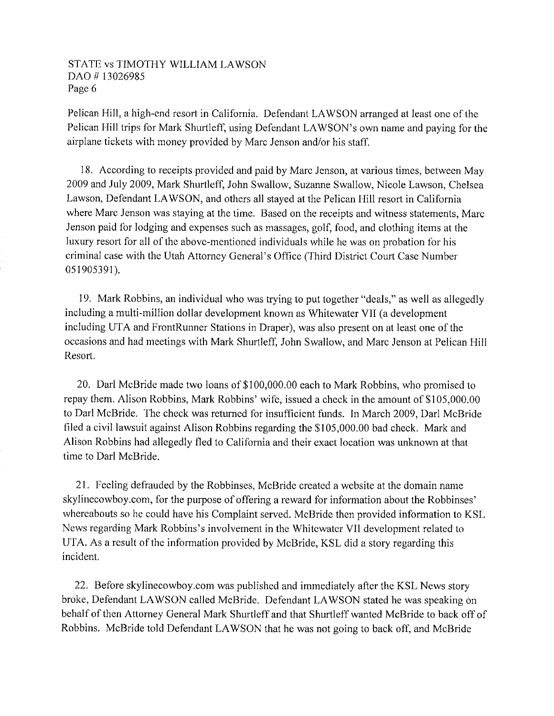Pelican Hill, a high-end resort in California. Defendant LAWSON arranged at least one of the Pelican Hill trips for Mark Shurtleff, using Defendant LAWSON's own name and paying for the airplane tickets with money provided by Marc Jenson and/or his staff.

18. According to receipts provided and paid by Marc Jenson, at various times, between May 2009 and July 2009, Mark Shurtleff, John Swallow, Suzanne Swallow, Nicole Lawson, Chelsea Lawson, Defendant LAWSON, and others all stayed at the Pelican Hill resort in California where Marc Jenson was staying at the time. Based on the receipts and witness statements, Marc Jenson paid for lodging and expenses such as massages, golf, food, and clothing items at the luxury resort for all of the above-mentioned individuals while he was on probation for his criminal case with the Utah Attorney General's Office (Third District Court Case Number 051905391).

19. Mark Robbins, an individual who was trying to put together "deals," as well as allegedly including a multi-million dollar development known as Whitewater VII (a development including UTA and FrontRunner Stations in Draper), was also present on at least one of the occasions and had meetings with Mark Shurtleff, John Swallow, and Marc Jenson at Pelican Hill Resort.

20. Darl McBride made two loans of \$100,000.00 each to Mark Robbins, who promised to repay them. Alison Robbins, Mark Robbins' wife, issued a check in the amount of \$105,000.00 to Darl McBride. The check was returned for insufficient funds. In March 2009, Darl McBride filed a civil lawsuit against Alison Robbins regarding the \$105,000.00 bad check. Mark and Alison Robbins had allegedly fled to California and their exact location was unknown at that time to Darl McBride.

21. Feeling defrauded by the Robbinses, McBride created a website at the domain name skylinecowboy.com, for the purpose of offering a reward for information about the Robbinses' whereabouts so he could have his Complaint served. McBride then provided information to KSL News regarding Mark Robbins's involvement in the Whitewater VII development related to UTA. As a result of the information provided by McBride, KSL did a story regarding this incident.

22. Before skylinecowboy.com was published and immediately after the KSL News story broke, Defendant LAWSON called McBride. Defendant LAWSON stated he was speaking on behalf of then Attorney General Mark Shurtleff and that Shurtleff wanted McBride to back off of Robbins. McBride told Defendant LAWSON that he was not going to back off, and McBride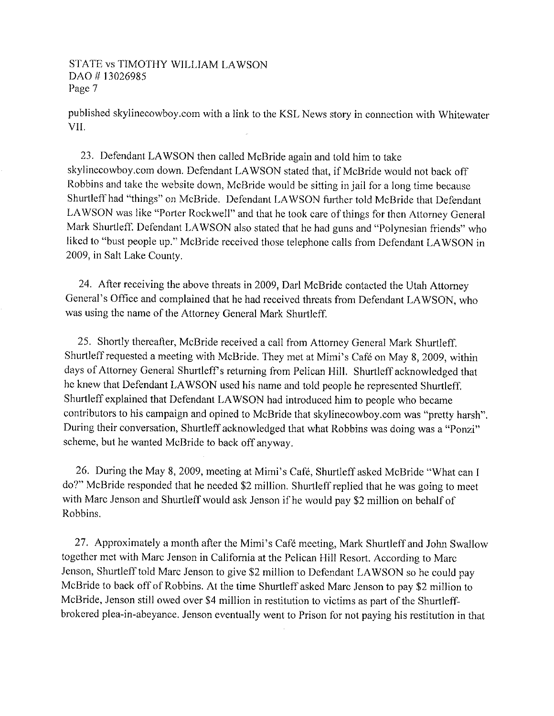published skylinecowboy.com with a link to the KSL News story in connection with Whitewater VII.

23. Defendant LAWSON then called McBride again and told him to take skylinecowboy.com down. Defendant LAWSON stated that, if McBride would not back off Robbins and take the website down, McBride would be sitting in jail for a long time because Shurtleff had "things" on McBride. Defendant LAWSON further told McBride that Defendant LAWSON was like "Porter Rockwell" and that he took care of things for then Attorney General Mark Shurtleff. Defendant LAWSON also stated that he had guns and "Polynesian friends" who liked to "bust people up." McBride received those telephone calls from Defendant LAWSON in 2009, in Salt Lake County.

24. After receiving the above threats in 2009, Darl McBride contacted the Utah Attorney General's Office and complained that he had received threats from Defendant LAWSON, who was using the name of the Attorney General Mark Shurtleff.

25. Shortly thereafter, McBride received a call from Attorney General Mark Shurtleff. Shurtleff requested a meeting with McBride. They met at Mimi's Café on May 8, 2009, within days of Attorney General Shurtleff's returning from Pelican Hill. Shurtleff acknowledged that he knew that Defendant LAWSON used his name and told people he represented Shurtleff. Shurtleff explained that Defendant LAWSON had introduced him to people who became contributors to his campaign and opined to McBride that skylinecowboy.com was "pretty harsh". During their conversation, Shurtleff acknowledged that what Robbins was doing was a "Ponzi" scheme, but he wanted McBride to back off anyway.

26. During the May 8, 2009, meeting at Mimi's Café, Shurtleff asked McBride "What can I do?" McBride responded that he needed \$2 million. Shurtleff replied that he was going to meet with Marc Jenson and Shurtleff would ask Jenson if he would pay \$2 million on behalf of Robbins.

27. Approximately a month after the Mimi's Café meeting, Mark Shurtleff and John Swallow together met with Marc Jenson in California at the Pelican Hill Resort. According to Marc Jenson, Shurtleff told Marc Jenson to give \$2 million to Defendant LAWSON so he could pay McBride to back off of Robbins. At the time Shurtleff asked Marc Jenson to pay \$2 million to McBride, Jenson still owed over \$4 million in restitution to victims as part of the Shurtleffbrokered plea-in-abeyance. Jenson eventually went to Prison for not paying his restitution in that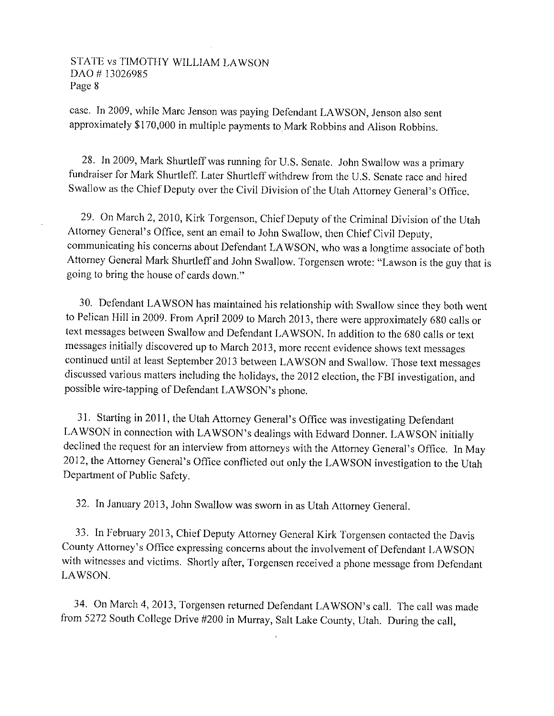case. In 2009, while Marc Jenson was paying Defendant LAWSON, Jenson also sent approximately \$170,000 in multiple payments to Mark Robbins and Alison Robbins.

28. In 2009, Mark Shurtleff was running for U.S. Senate. John Swallow was a primary fundraiser for Mark Shurtleff. Later Shurtleff withdrew from the U.S. Senate race and hired Swallow as the Chief Deputy over the Civil Division of the Utah Attorney General's Office.

29. On March 2, 2010, Kirk Torgenson, Chief Deputy of the Criminal Division of the Utah Attorney General's Office, sent an email to John Swallow, then Chief Civil Deputy, communicating his concerns about Defendant LAWSON, who was a longtime associate of both Attorney General Mark Shurtleff and John Swallow. Torgensen wrote: "Lawson is the guy that is going to bring the house of cards down."

30. Defendant LAWSON has maintained his relationship with Swallow since they both went to Pelican Hill in 2009. From April 2009 to March 2013, there were approximately 680 calls or text messages between Swallow and Defendant LAWSON. In addition to the 680 calls or text messages initially discovered up to March 2013, more recent evidence shows text messages continued until at least September 2013 between LAWSON and Swallow. Those text messages discussed various matters including the holidays, the 2012 election, the FBI investigation, and possible wire-tapping of Defendant LAWSON's phone.

31. Starting in 2011, the Utah Attorney General's Office was investigating Defendant LAWSON in connection with LAWSON's dealings with Edward Donner. LAWSON initially declined the request for an interview from attorneys with the Attorney General's Office. In May 2012, the Attorney General's Office conflicted out only the LAWSON investigation to the Utah Department of Public Safety.

32. In January 2013, John Swallow was sworn in as Utah Attorney General.

33. In February 2013, Chief Deputy Attorney General Kirk Torgensen contacted the Davis County Attorney's Office expressing concerns about the involvement of Defendant LAWSON with witnesses and victims. Shortly after, Torgensen received a phone message from Defendant LAWSON.

34. On March 4, 2013, Torgensen returned Defendant LAWSON's call. The call was made from 5272 South College Drive #200 in Murray, Salt Lake County, Utah. During the call,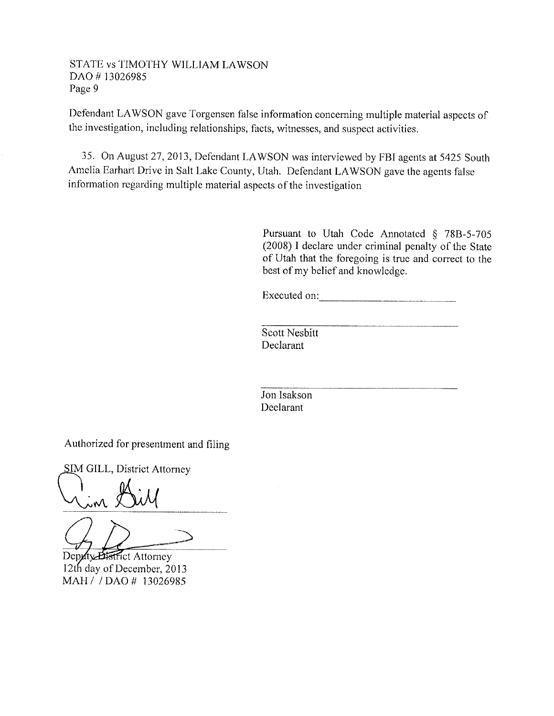Defendant LAWSON gave Torgensen false information concerning multiple material aspects of the investigation, including relationships, facts, witnesses, and suspect activities.

35. On August 27, 2013, Defendant LAWSON was interviewed by FBI agents at 5425 South Amelia Earhart Drive in Salt Lake County, Utah. Defendant LAWSON gave the agents false information regarding multiple material aspects of the investigation

> Pursuant to Utah Code Annotated § 78B-5-705 (2008) I declare under criminal penalty of the State of Utah that the foregoing is true and correct to the best of my belief and knowledge.

Executed on:

Scott Nesbitt Declarant

Jon Isakson Declarant

Authorized for presentment and filing

**SIM GILL, District Attorney** 

 $\bigcup_{\lambda \geq 0}^{\infty}$ 

Deputy Bistrict Attorney 12th day of December, 2013 MAH / / DAO # 13026985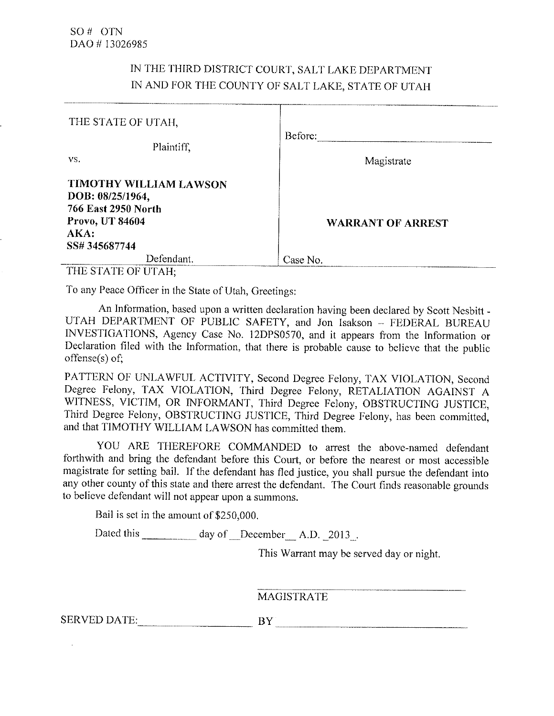# IN THE THIRD DISTRICT COURT, SALT LAKE DEPARTMENT IN AND FOR THE COUNTY OF SALT LAKE, STATE OF UTAH

| THE STATE OF UTAH,                                                                   |                          |
|--------------------------------------------------------------------------------------|--------------------------|
| Plaintiff.<br>VS.                                                                    | Before:<br>Magistrate    |
| TIMOTHY WILLIAM LAWSON<br>DOB: 08/25/1964,<br>766 East 2950 North<br>Provo, UT 84604 |                          |
| AKA:<br>SS# 345687744                                                                | <b>WARRANT OF ARREST</b> |
| Defendant.                                                                           | Case No.                 |

THE STATE OF UTAH;

To any Peace Officer in the State of Utah, Greetings:

An Information, based upon a written declaration having been declared by Scott Nesbitt -UTAH DEPARTMENT OF PUBLIC SAFETY, and Jon Isakson - FEDERAL BUREAU INVESTIGATIONS, Agency Case No. 12DPS0570, and it appears from the Information or Declaration filed with the Information, that there is probable cause to believe that the public  $offense(s)$  of:

PATTERN OF UNLAWFUL ACTIVITY, Second Degree Felony, TAX VIOLATION, Second Degree Felony, TAX VIOLATION, Third Degree Felony, RETALIATION AGAINST A WITNESS, VICTIM, OR INFORMANT, Third Degree Felony, OBSTRUCTING JUSTICE, Third Degree Felony, OBSTRUCTING JUSTICE, Third Degree Felony, has been committed, and that TIMOTHY WILLIAM LAWSON has committed them.

YOU ARE THEREFORE COMMANDED to arrest the above-named defendant forthwith and bring the defendant before this Court, or before the nearest or most accessible magistrate for setting bail. If the defendant has fled justice, you shall pursue the defendant into any other county of this state and there arrest the defendant. The Court finds reasonable grounds to believe defendant will not appear upon a summons.

Bail is set in the amount of \$250,000.

Dated this day of December A.D. 2013.

This Warrant may be served day or night.

**MAGISTRATE** 

SERVED DATE: BY BY